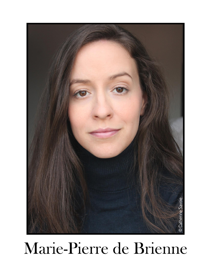

# Marie-Pierre de Brienne